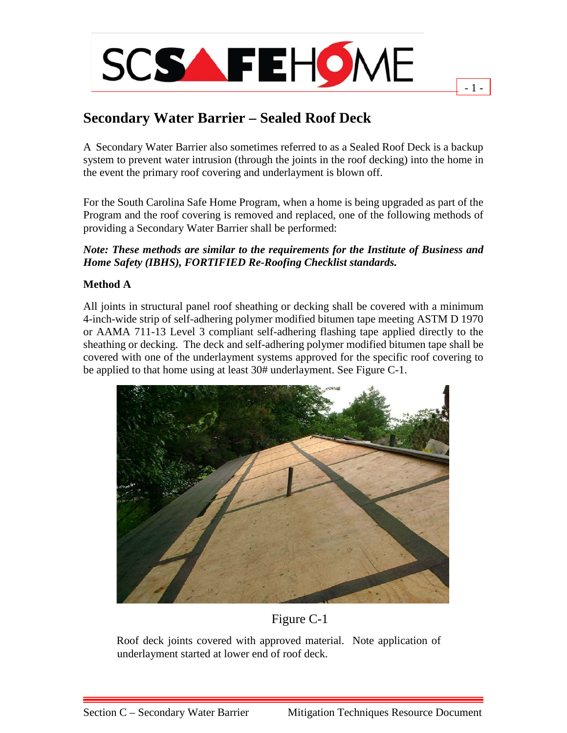

# **Secondary Water Barrier – Sealed Roof Deck**

A Secondary Water Barrier also sometimes referred to as a Sealed Roof Deck is a backup system to prevent water intrusion (through the joints in the roof decking) into the home in the event the primary roof covering and underlayment is blown off.

 $1 -$ 

For the South Carolina Safe Home Program, when a home is being upgraded as part of the Program and the roof covering is removed and replaced, one of the following methods of providing a Secondary Water Barrier shall be performed:

### *Note: These methods are similar to the requirements for the Institute of Business and Home Safety (IBHS), FORTIFIED Re-Roofing Checklist standards.*

## **Method A**

All joints in structural panel roof sheathing or decking shall be covered with a minimum 4-inch-wide strip of self-adhering polymer modified bitumen tape meeting ASTM D 1970 or AAMA 711-13 Level 3 compliant self-adhering flashing tape applied directly to the sheathing or decking. The deck and self-adhering polymer modified bitumen tape shall be covered with one of the underlayment systems approved for the specific roof covering to be applied to that home using at least 30# underlayment. See Figure C-1.



## Figure C-1

Roof deck joints covered with approved material. Note application of underlayment started at lower end of roof deck.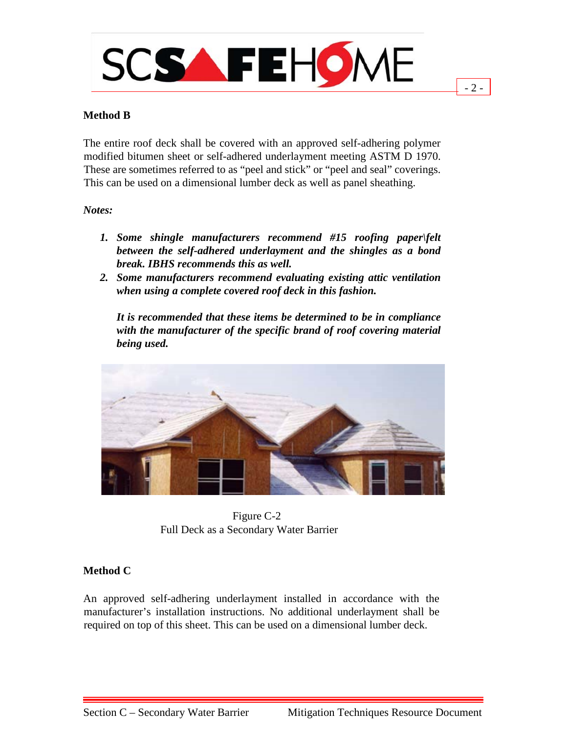

 $2 -$ 

### **Method B**

The entire roof deck shall be covered with an approved self-adhering polymer modified bitumen sheet or self-adhered underlayment meeting ASTM D 1970. These are sometimes referred to as "peel and stick" or "peel and seal" coverings. This can be used on a dimensional lumber deck as well as panel sheathing.

#### *Notes:*

- *1. Some shingle manufacturers recommend #15 roofing paper\felt between the self-adhered underlayment and the shingles as a bond break. IBHS recommends this as well.*
- *2. Some manufacturers recommend evaluating existing attic ventilation when using a complete covered roof deck in this fashion.*

*It is recommended that these items be determined to be in compliance with the manufacturer of the specific brand of roof covering material being used.*



 Figure C-2 Full Deck as a Secondary Water Barrier

#### **Method C**

An approved self-adhering underlayment installed in accordance with the manufacturer's installation instructions. No additional underlayment shall be required on top of this sheet. This can be used on a dimensional lumber deck.